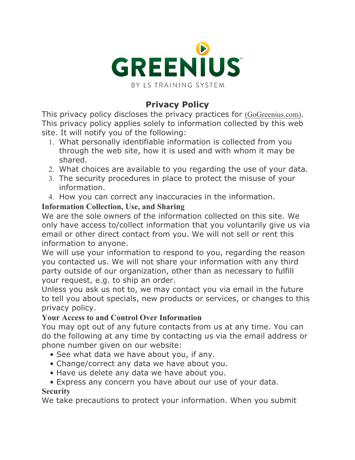

# **Privacy Policy**

This privacy policy discloses the privacy practices for (GoGreenius.com). This privacy policy applies solely to information collected by this web site. It will notify you of the following:

- 1. What personally identifiable information is collected from you through the web site, how it is used and with whom it may be shared.
- 2. What choices are available to you regarding the use of your data.
- 3. The security procedures in place to protect the misuse of your information.
- 4. How you can correct any inaccuracies in the information.

### **Information Collection, Use, and Sharing**

We are the sole owners of the information collected on this site. We only have access to/collect information that you voluntarily give us via email or other direct contact from you. We will not sell or rent this information to anyone.

We will use your information to respond to you, regarding the reason you contacted us. We will not share your information with any third party outside of our organization, other than as necessary to fulfill your request, e.g. to ship an order.

Unless you ask us not to, we may contact you via email in the future to tell you about specials, new products or services, or changes to this privacy policy.

### **Your Access to and Control Over Information**

You may opt out of any future contacts from us at any time. You can do the following at any time by contacting us via the email address or phone number given on our website:

- See what data we have about you, if any.
- Change/correct any data we have about you.
- Have us delete any data we have about you.

### • Express any concern you have about our use of your data.

### **Security**

We take precautions to protect your information. When you submit